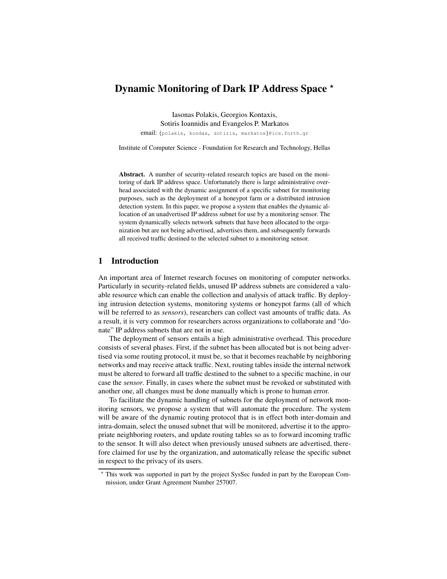# **Dynamic Monitoring of Dark IP Address Space**  $\star$

Iasonas Polakis, Georgios Kontaxis, Sotiris Ioannidis and Evangelos P. Markatos email: {polakis, kondax, sotiris, markatos}@ics.forth.gr

Institute of Computer Science - Foundation for Research and Technology, Hellas

**Abstract.** A number of security-related research topics are based on the monitoring of dark IP address space. Unfortunately there is large administrative overhead associated with the dynamic assignment of a specific subnet for monitoring purposes, such as the deployment of a honeypot farm or a distributed intrusion detection system. In this paper, we propose a system that enables the dynamic allocation of an unadvertised IP address subnet for use by a monitoring sensor. The system dynamically selects network subnets that have been allocated to the organization but are not being advertised, advertises them, and subsequently forwards all received traffic destined to the selected subnet to a monitoring sensor.

## **1 Introduction**

An important area of Internet research focuses on monitoring of computer networks. Particularly in security-related fields, unused IP address subnets are considered a valuable resource which can enable the collection and analysis of attack traffic. By deploying intrusion detection systems, monitoring systems or honeypot farms (all of which will be referred to as *sensors*), researchers can collect vast amounts of traffic data. As a result, it is very common for researchers across organizations to collaborate and "donate" IP address subnets that are not in use.

The deployment of sensors entails a high administrative overhead. This procedure consists of several phases. First, if the subnet has been allocated but is not being advertised via some routing protocol, it must be, so that it becomes reachable by neighboring networks and may receive attack traffic. Next, routing tables inside the internal network must be altered to forward all traffic destined to the subnet to a specific machine, in our case the *sensor*. Finally, in cases where the subnet must be revoked or substituted with another one, all changes must be done manually which is prone to human error.

To facilitate the dynamic handling of subnets for the deployment of network monitoring sensors, we propose a system that will automate the procedure. The system will be aware of the dynamic routing protocol that is in effect both inter-domain and intra-domain, select the unused subnet that will be monitored, advertise it to the appropriate neighboring routers, and update routing tables so as to forward incoming traffic to the sensor. It will also detect when previously unused subnets are advertised, therefore claimed for use by the organization, and automatically release the specific subnet in respect to the privacy of its users.

<sup>⋆</sup> This work was supported in part by the project SysSec funded in part by the European Commission, under Grant Agreement Number 257007.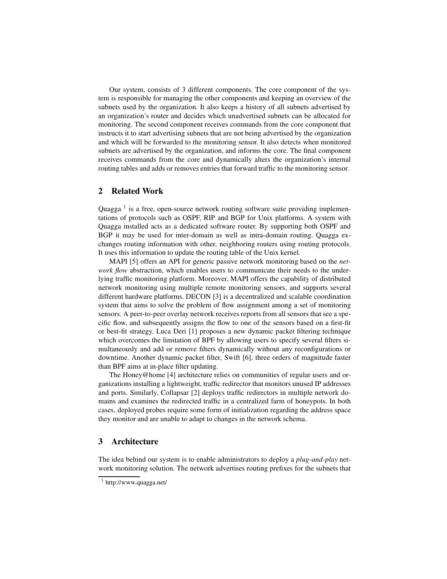Our system, consists of 3 different components. The core component of the system is responsible for managing the other components and keeping an overview of the subnets used by the organization. It also keeps a history of all subnets advertised by an organization's router and decides which unadvertised subnets can be allocated for monitoring. The second component receives commands from the core component that instructs it to start advertising subnets that are not being advertised by the organization and which will be forwarded to the monitoring sensor. It also detects when monitored subnets are advertised by the organization, and informs the core. The final component receives commands from the core and dynamically alters the organization's internal routing tables and adds or removes entries that forward traffic to the monitoring sensor.

### **2 Related Work**

Quagga<sup>1</sup> is a free, open-source network routing software suite providing implementations of protocols such as OSPF, RIP and BGP for Unix platforms. A system with Quagga installed acts as a dedicated software router. By supporting both OSPF and BGP it may be used for inter-domain as well as intra-domain routing. Quagga exchanges routing information with other, neighboring routers using routing protocols. It uses this information to update the routing table of the Unix kernel.

MAPI [5] offers an API for generic passive network monitoring based on the *network flow* abstraction, which enables users to communicate their needs to the underlying traffic monitoring platform. Moreover, MAPI offers the capability of distributed network monitoring using multiple remote monitoring sensors, and supports several different hardware platforms. DECON [3] is a decentralized and scalable coordination system that aims to solve the problem of flow assignment among a set of monitoring sensors. A peer-to-peer overlay network receives reports from all sensors that see a specific flow, and subsequently assigns the flow to one of the sensors based on a first-fit or best-fit strategy. Luca Deri [1] proposes a new dynamic packet filtering technique which overcomes the limitation of BPF by allowing users to specify several filters simultaneously and add or remove filters dynamically without any reconfigurations or downtime. Another dynamic packet filter, Swift [6], three orders of magnitude faster than BPF aims at in-place filter updating.

The Honey@home [4] architecture relies on communities of regular users and organizations installing a lightweight, traffic redirector that monitors unused IP addresses and ports. Similarly, Collapsar [2] deploys traffic redirectors in multiple network domains and examines the redirected traffic in a centralized farm of honeypots. In both cases, deployed probes require some form of initialization regarding the address space they monitor and are unable to adapt to changes in the network schema.

#### **3 Architecture**

The idea behind our system is to enable administrators to deploy a *plug-and-play* network monitoring solution. The network advertises routing prefixes for the subnets that

<sup>&</sup>lt;sup>1</sup> http://www.quagga.net/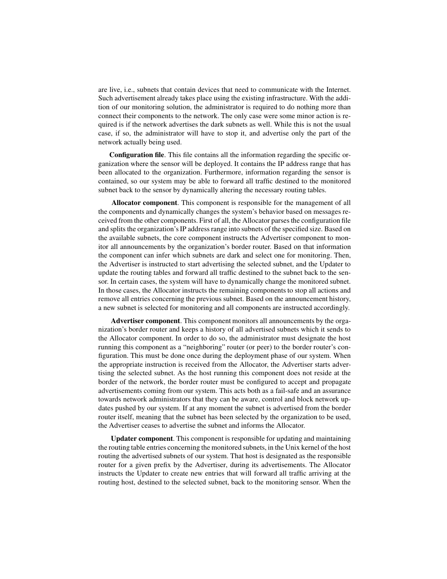are live, i.e., subnets that contain devices that need to communicate with the Internet. Such advertisement already takes place using the existing infrastructure. With the addition of our monitoring solution, the administrator is required to do nothing more than connect their components to the network. The only case were some minor action is required is if the network advertises the dark subnets as well. While this is not the usual case, if so, the administrator will have to stop it, and advertise only the part of the network actually being used.

**Configuration file**. This file contains all the information regarding the specific organization where the sensor will be deployed. It contains the IP address range that has been allocated to the organization. Furthermore, information regarding the sensor is contained, so our system may be able to forward all traffic destined to the monitored subnet back to the sensor by dynamically altering the necessary routing tables.

**Allocator component**. This component is responsible for the management of all the components and dynamically changes the system's behavior based on messages received from the other components. First of all, the Allocator parses the configuration file and splits the organization's IP address range into subnets of the specified size. Based on the available subnets, the core component instructs the Advertiser component to monitor all announcements by the organization's border router. Based on that information the component can infer which subnets are dark and select one for monitoring. Then, the Advertiser is instructed to start advertising the selected subnet, and the Updater to update the routing tables and forward all traffic destined to the subnet back to the sensor. In certain cases, the system will have to dynamically change the monitored subnet. In those cases, the Allocator instructs the remaining components to stop all actions and remove all entries concerning the previous subnet. Based on the announcement history, a new subnet is selected for monitoring and all components are instructed accordingly.

**Advertiser component**. This component monitors all announcements by the organization's border router and keeps a history of all advertised subnets which it sends to the Allocator component. In order to do so, the administrator must designate the host running this component as a "neighboring" router (or peer) to the border router's configuration. This must be done once during the deployment phase of our system. When the appropriate instruction is received from the Allocator, the Advertiser starts advertising the selected subnet. As the host running this component does not reside at the border of the network, the border router must be configured to accept and propagate advertisements coming from our system. This acts both as a fail-safe and an assurance towards network administrators that they can be aware, control and block network updates pushed by our system. If at any moment the subnet is advertised from the border router itself, meaning that the subnet has been selected by the organization to be used, the Advertiser ceases to advertise the subnet and informs the Allocator.

**Updater component**. This component is responsible for updating and maintaining the routing table entries concerning the monitored subnets, in the Unix kernel of the host routing the advertised subnets of our system. That host is designated as the responsible router for a given prefix by the Advertiser, during its advertisements. The Allocator instructs the Updater to create new entries that will forward all traffic arriving at the routing host, destined to the selected subnet, back to the monitoring sensor. When the